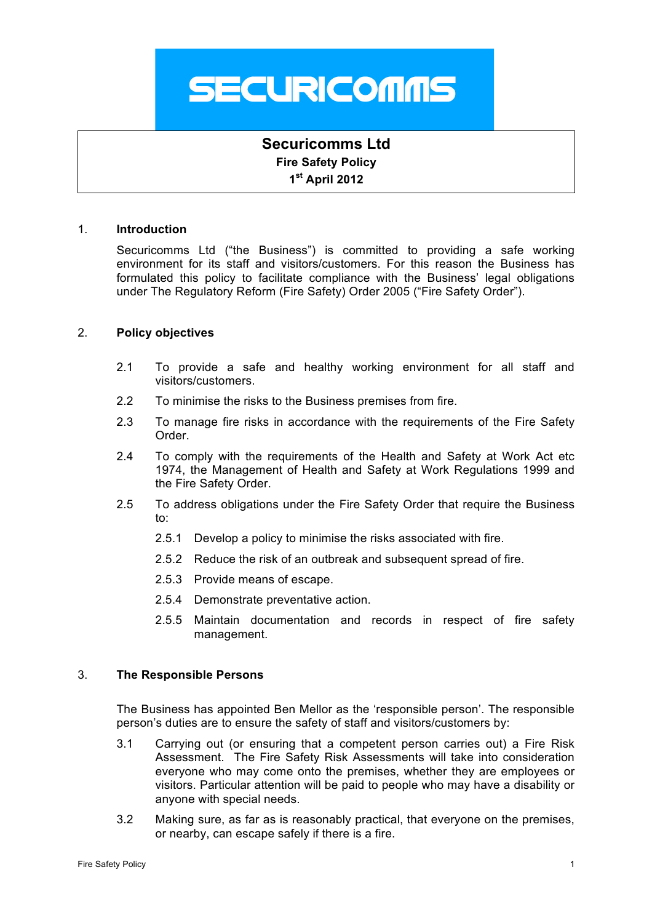

# **Securicomms Ltd Fire Safety Policy 1st April 2012**

#### 1. **Introduction**

Securicomms Ltd ("the Business") is committed to providing a safe working environment for its staff and visitors/customers. For this reason the Business has formulated this policy to facilitate compliance with the Business' legal obligations under The Regulatory Reform (Fire Safety) Order 2005 ("Fire Safety Order").

# 2. **Policy objectives**

- 2.1 To provide a safe and healthy working environment for all staff and visitors/customers.
- 2.2 To minimise the risks to the Business premises from fire.
- 2.3 To manage fire risks in accordance with the requirements of the Fire Safety Order.
- 2.4 To comply with the requirements of the Health and Safety at Work Act etc 1974, the Management of Health and Safety at Work Regulations 1999 and the Fire Safety Order.
- 2.5 To address obligations under the Fire Safety Order that require the Business to:
	- 2.5.1 Develop a policy to minimise the risks associated with fire.
	- 2.5.2 Reduce the risk of an outbreak and subsequent spread of fire.
	- 2.5.3 Provide means of escape.
	- 2.5.4 Demonstrate preventative action.
	- 2.5.5 Maintain documentation and records in respect of fire safety management.

#### 3. **The Responsible Persons**

The Business has appointed Ben Mellor as the 'responsible person'. The responsible person's duties are to ensure the safety of staff and visitors/customers by:

- 3.1 Carrying out (or ensuring that a competent person carries out) a Fire Risk Assessment. The Fire Safety Risk Assessments will take into consideration everyone who may come onto the premises, whether they are employees or visitors. Particular attention will be paid to people who may have a disability or anyone with special needs.
- 3.2 Making sure, as far as is reasonably practical, that everyone on the premises, or nearby, can escape safely if there is a fire.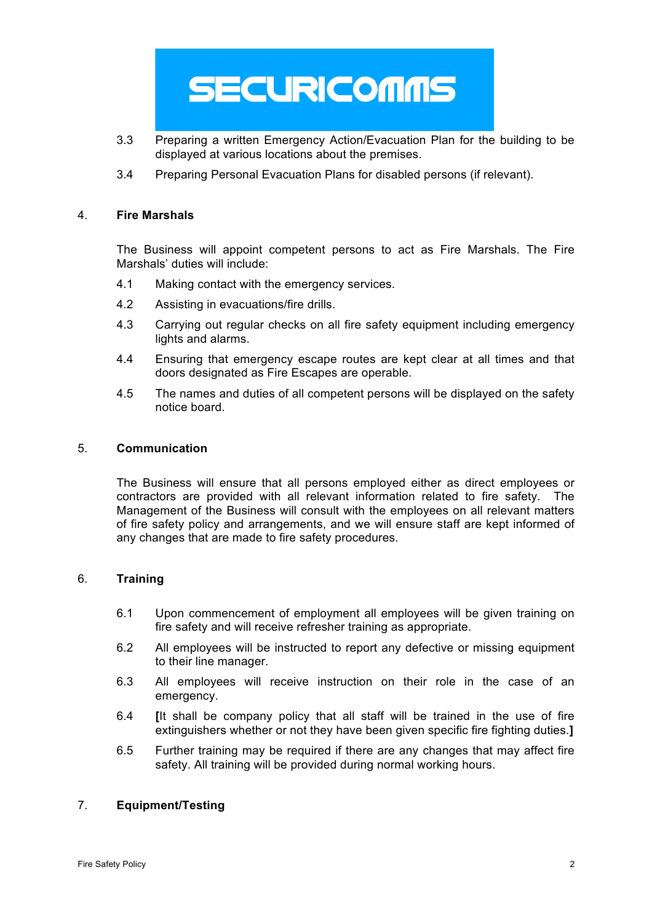# **SECURICOMMS**

- 3.3 Preparing a written Emergency Action/Evacuation Plan for the building to be displayed at various locations about the premises.
- 3.4 Preparing Personal Evacuation Plans for disabled persons (if relevant).

## 4. **Fire Marshals**

The Business will appoint competent persons to act as Fire Marshals. The Fire Marshals' duties will include:

- 4.1 Making contact with the emergency services.
- 4.2 Assisting in evacuations/fire drills.
- 4.3 Carrying out regular checks on all fire safety equipment including emergency lights and alarms.
- 4.4 Ensuring that emergency escape routes are kept clear at all times and that doors designated as Fire Escapes are operable.
- 4.5 The names and duties of all competent persons will be displayed on the safety notice board.

#### 5. **Communication**

The Business will ensure that all persons employed either as direct employees or contractors are provided with all relevant information related to fire safety. The Management of the Business will consult with the employees on all relevant matters of fire safety policy and arrangements, and we will ensure staff are kept informed of any changes that are made to fire safety procedures.

# 6. **Training**

- 6.1 Upon commencement of employment all employees will be given training on fire safety and will receive refresher training as appropriate.
- 6.2 All employees will be instructed to report any defective or missing equipment to their line manager.
- 6.3 All employees will receive instruction on their role in the case of an emergency.
- 6.4 **[**It shall be company policy that all staff will be trained in the use of fire extinguishers whether or not they have been given specific fire fighting duties.**]**
- 6.5 Further training may be required if there are any changes that may affect fire safety. All training will be provided during normal working hours.

# 7. **Equipment/Testing**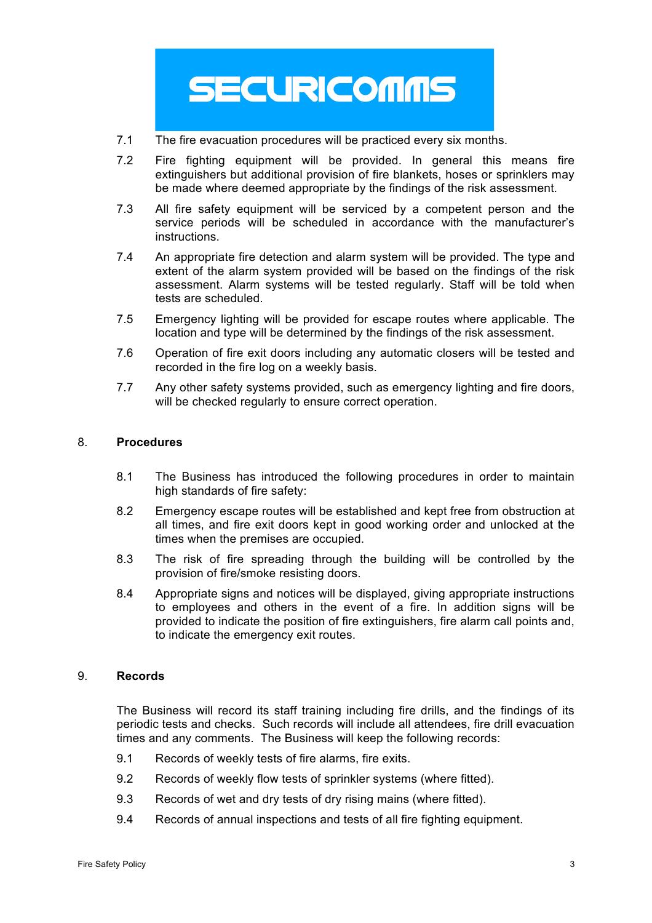

- 7.1 The fire evacuation procedures will be practiced every six months.
- 7.2 Fire fighting equipment will be provided. In general this means fire extinguishers but additional provision of fire blankets, hoses or sprinklers may be made where deemed appropriate by the findings of the risk assessment.
- 7.3 All fire safety equipment will be serviced by a competent person and the service periods will be scheduled in accordance with the manufacturer's instructions.
- 7.4 An appropriate fire detection and alarm system will be provided. The type and extent of the alarm system provided will be based on the findings of the risk assessment. Alarm systems will be tested regularly. Staff will be told when tests are scheduled.
- 7.5 Emergency lighting will be provided for escape routes where applicable. The location and type will be determined by the findings of the risk assessment.
- 7.6 Operation of fire exit doors including any automatic closers will be tested and recorded in the fire log on a weekly basis.
- 7.7 Any other safety systems provided, such as emergency lighting and fire doors, will be checked regularly to ensure correct operation.

# 8. **Procedures**

- 8.1 The Business has introduced the following procedures in order to maintain high standards of fire safety:
- 8.2 Emergency escape routes will be established and kept free from obstruction at all times, and fire exit doors kept in good working order and unlocked at the times when the premises are occupied.
- 8.3 The risk of fire spreading through the building will be controlled by the provision of fire/smoke resisting doors.
- 8.4 Appropriate signs and notices will be displayed, giving appropriate instructions to employees and others in the event of a fire. In addition signs will be provided to indicate the position of fire extinguishers, fire alarm call points and, to indicate the emergency exit routes.

#### 9. **Records**

The Business will record its staff training including fire drills, and the findings of its periodic tests and checks. Such records will include all attendees, fire drill evacuation times and any comments. The Business will keep the following records:

- 9.1 Records of weekly tests of fire alarms, fire exits.
- 9.2 Records of weekly flow tests of sprinkler systems (where fitted).
- 9.3 Records of wet and dry tests of dry rising mains (where fitted).
- 9.4 Records of annual inspections and tests of all fire fighting equipment.